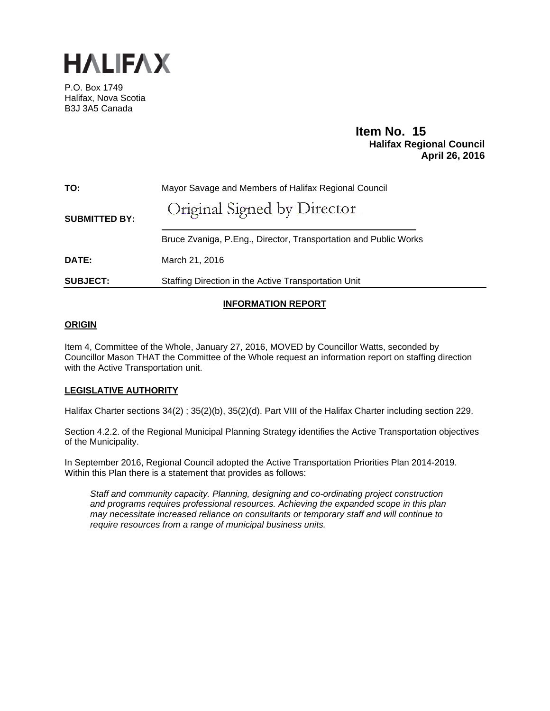

P.O. Box 1749 Halifax, Nova Scotia B3J 3A5 Canada

# **Item No. 15<br>Halifax Regional Council April 26, 2016**

| TO:                  | Mayor Savage and Members of Halifax Regional Council             |
|----------------------|------------------------------------------------------------------|
| <b>SUBMITTED BY:</b> | Original Signed by Director                                      |
|                      | Bruce Zvaniga, P.Eng., Director, Transportation and Public Works |
| <b>DATE:</b>         | March 21, 2016                                                   |
| <b>SUBJECT:</b>      | Staffing Direction in the Active Transportation Unit             |

# **INFORMATION REPORT**

# **ORIGIN**

Item 4, Committee of the Whole, January 27, 2016, MOVED by Councillor Watts, seconded by Councillor Mason THAT the Committee of the Whole request an information report on staffing direction with the Active Transportation unit.

# **LEGISLATIVE AUTHORITY**

Halifax Charter sections 34(2) ; 35(2)(b), 35(2)(d). Part VIII of the Halifax Charter including section 229.

Section 4.2.2. of the Regional Municipal Planning Strategy identifies the Active Transportation objectives of the Municipality.

In September 2016, Regional Council adopted the Active Transportation Priorities Plan 2014-2019. Within this Plan there is a statement that provides as follows:

*Staff and community capacity. Planning, designing and co-ordinating project construction and programs requires professional resources. Achieving the expanded scope in this plan may necessitate increased reliance on consultants or temporary staff and will continue to require resources from a range of municipal business units.*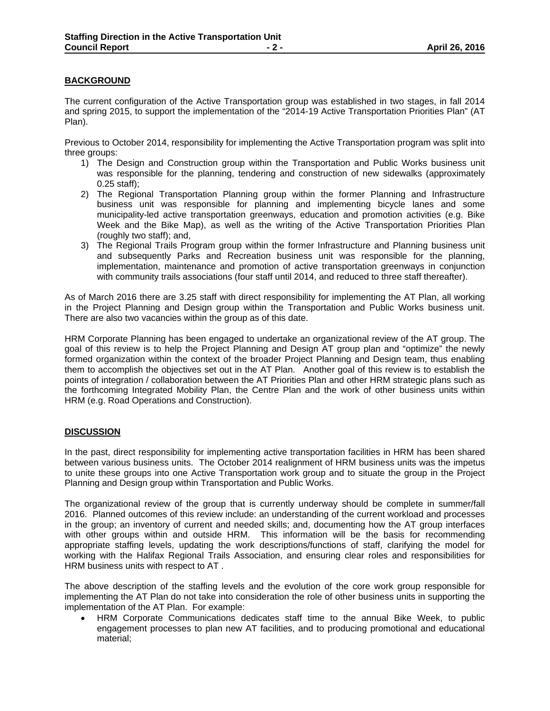# **BACKGROUND**

The current configuration of the Active Transportation group was established in two stages, in fall 2014 and spring 2015, to support the implementation of the "2014-19 Active Transportation Priorities Plan" (AT Plan).

Previous to October 2014, responsibility for implementing the Active Transportation program was split into three groups:

- 1) The Design and Construction group within the Transportation and Public Works business unit was responsible for the planning, tendering and construction of new sidewalks (approximately 0.25 staff);
- 2) The Regional Transportation Planning group within the former Planning and Infrastructure business unit was responsible for planning and implementing bicycle lanes and some municipality-led active transportation greenways, education and promotion activities (e.g. Bike Week and the Bike Map), as well as the writing of the Active Transportation Priorities Plan (roughly two staff); and,
- 3) The Regional Trails Program group within the former Infrastructure and Planning business unit and subsequently Parks and Recreation business unit was responsible for the planning, implementation, maintenance and promotion of active transportation greenways in conjunction with community trails associations (four staff until 2014, and reduced to three staff thereafter).

As of March 2016 there are 3.25 staff with direct responsibility for implementing the AT Plan, all working in the Project Planning and Design group within the Transportation and Public Works business unit. There are also two vacancies within the group as of this date.

HRM Corporate Planning has been engaged to undertake an organizational review of the AT group. The goal of this review is to help the Project Planning and Design AT group plan and "optimize" the newly formed organization within the context of the broader Project Planning and Design team, thus enabling them to accomplish the objectives set out in the AT Plan. Another goal of this review is to establish the points of integration / collaboration between the AT Priorities Plan and other HRM strategic plans such as the forthcoming Integrated Mobility Plan, the Centre Plan and the work of other business units within HRM (e.g. Road Operations and Construction).

### **DISCUSSION**

In the past, direct responsibility for implementing active transportation facilities in HRM has been shared between various business units. The October 2014 realignment of HRM business units was the impetus to unite these groups into one Active Transportation work group and to situate the group in the Project Planning and Design group within Transportation and Public Works.

The organizational review of the group that is currently underway should be complete in summer/fall 2016. Planned outcomes of this review include: an understanding of the current workload and processes in the group; an inventory of current and needed skills; and, documenting how the AT group interfaces with other groups within and outside HRM. This information will be the basis for recommending appropriate staffing levels, updating the work descriptions/functions of staff, clarifying the model for working with the Halifax Regional Trails Association, and ensuring clear roles and responsibilities for HRM business units with respect to AT .

The above description of the staffing levels and the evolution of the core work group responsible for implementing the AT Plan do not take into consideration the role of other business units in supporting the implementation of the AT Plan. For example:

 HRM Corporate Communications dedicates staff time to the annual Bike Week, to public engagement processes to plan new AT facilities, and to producing promotional and educational material;